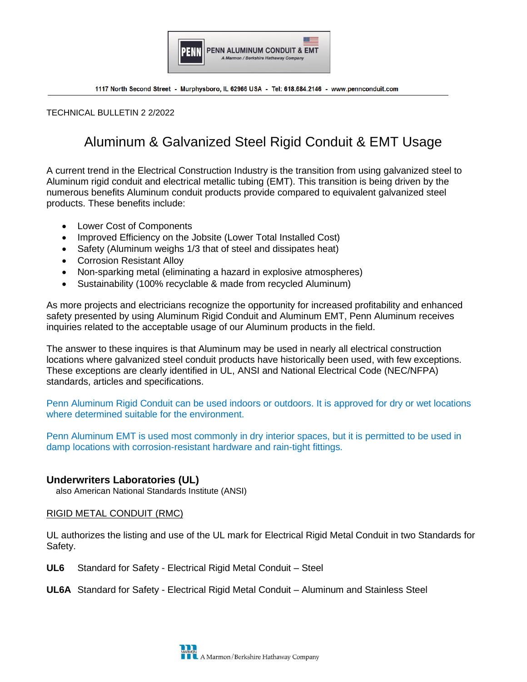

TECHNICAL BULLETIN 2 2/2022

# Aluminum & Galvanized Steel Rigid Conduit & EMT Usage

A current trend in the Electrical Construction Industry is the transition from using galvanized steel to Aluminum rigid conduit and electrical metallic tubing (EMT). This transition is being driven by the numerous benefits Aluminum conduit products provide compared to equivalent galvanized steel products. These benefits include:

- Lower Cost of Components
- Improved Efficiency on the Jobsite (Lower Total Installed Cost)
- Safety (Aluminum weighs 1/3 that of steel and dissipates heat)
- Corrosion Resistant Alloy
- Non-sparking metal (eliminating a hazard in explosive atmospheres)
- Sustainability (100% recyclable & made from recycled Aluminum)

As more projects and electricians recognize the opportunity for increased profitability and enhanced safety presented by using Aluminum Rigid Conduit and Aluminum EMT, Penn Aluminum receives inquiries related to the acceptable usage of our Aluminum products in the field.

The answer to these inquires is that Aluminum may be used in nearly all electrical construction locations where galvanized steel conduit products have historically been used, with few exceptions. These exceptions are clearly identified in UL, ANSI and National Electrical Code (NEC/NFPA) standards, articles and specifications.

Penn Aluminum Rigid Conduit can be used indoors or outdoors. It is approved for dry or wet locations where determined suitable for the environment.

Penn Aluminum EMT is used most commonly in dry interior spaces, but it is permitted to be used in damp locations with corrosion-resistant hardware and rain-tight fittings.

## **Underwriters Laboratories (UL)**

also American National Standards Institute (ANSI)

#### RIGID METAL CONDUIT (RMC)

UL authorizes the listing and use of the UL mark for Electrical Rigid Metal Conduit in two Standards for Safety.

**UL6** Standard for Safety - Electrical Rigid Metal Conduit – Steel

**UL6A** Standard for Safety - Electrical Rigid Metal Conduit – Aluminum and Stainless Steel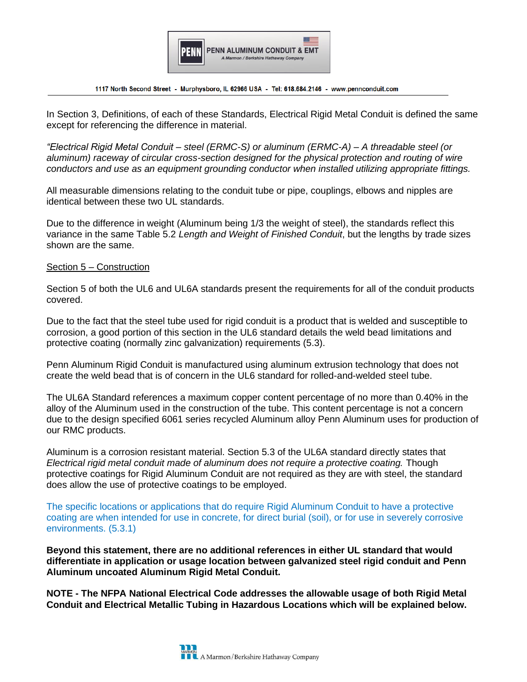

In Section 3, Definitions, of each of these Standards, Electrical Rigid Metal Conduit is defined the same except for referencing the difference in material.

*"Electrical Rigid Metal Conduit – steel (ERMC-S) or aluminum (ERMC-A) – A threadable steel (or aluminum) raceway of circular cross-section designed for the physical protection and routing of wire conductors and use as an equipment grounding conductor when installed utilizing appropriate fittings.*

All measurable dimensions relating to the conduit tube or pipe, couplings, elbows and nipples are identical between these two UL standards.

Due to the difference in weight (Aluminum being 1/3 the weight of steel), the standards reflect this variance in the same Table 5.2 *Length and Weight of Finished Conduit*, but the lengths by trade sizes shown are the same.

#### Section 5 – Construction

Section 5 of both the UL6 and UL6A standards present the requirements for all of the conduit products covered.

Due to the fact that the steel tube used for rigid conduit is a product that is welded and susceptible to corrosion, a good portion of this section in the UL6 standard details the weld bead limitations and protective coating (normally zinc galvanization) requirements (5.3).

Penn Aluminum Rigid Conduit is manufactured using aluminum extrusion technology that does not create the weld bead that is of concern in the UL6 standard for rolled-and-welded steel tube.

The UL6A Standard references a maximum copper content percentage of no more than 0.40% in the alloy of the Aluminum used in the construction of the tube. This content percentage is not a concern due to the design specified 6061 series recycled Aluminum alloy Penn Aluminum uses for production of our RMC products.

Aluminum is a corrosion resistant material. Section 5.3 of the UL6A standard directly states that *Electrical rigid metal conduit made of aluminum does not require a protective coating.* Though protective coatings for Rigid Aluminum Conduit are not required as they are with steel, the standard does allow the use of protective coatings to be employed.

The specific locations or applications that do require Rigid Aluminum Conduit to have a protective coating are when intended for use in concrete, for direct burial (soil), or for use in severely corrosive environments. (5.3.1)

**Beyond this statement, there are no additional references in either UL standard that would differentiate in application or usage location between galvanized steel rigid conduit and Penn Aluminum uncoated Aluminum Rigid Metal Conduit.**

**NOTE - The NFPA National Electrical Code addresses the allowable usage of both Rigid Metal Conduit and Electrical Metallic Tubing in Hazardous Locations which will be explained below.**

**L** A Marmon/Berkshire Hathaway Company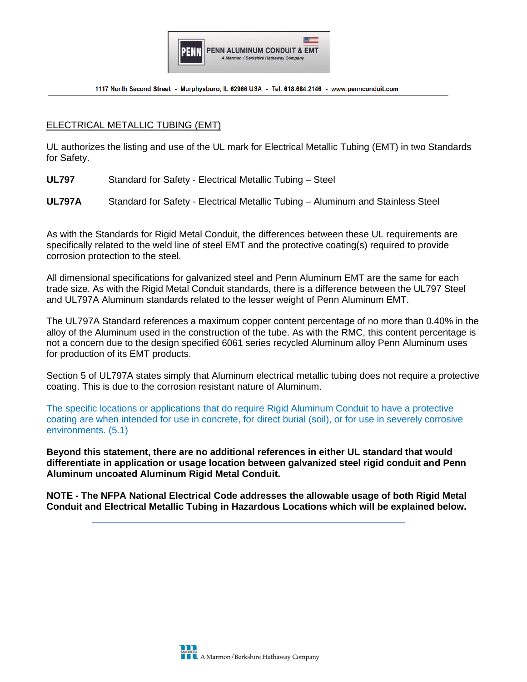

## ELECTRICAL METALLIC TUBING (EMT)

UL authorizes the listing and use of the UL mark for Electrical Metallic Tubing (EMT) in two Standards for Safety.

**UL797** Standard for Safety - Electrical Metallic Tubing – Steel

**UL797A** Standard for Safety - Electrical Metallic Tubing – Aluminum and Stainless Steel

As with the Standards for Rigid Metal Conduit, the differences between these UL requirements are specifically related to the weld line of steel EMT and the protective coating(s) required to provide corrosion protection to the steel.

All dimensional specifications for galvanized steel and Penn Aluminum EMT are the same for each trade size. As with the Rigid Metal Conduit standards, there is a difference between the UL797 Steel and UL797A Aluminum standards related to the lesser weight of Penn Aluminum EMT.

The UL797A Standard references a maximum copper content percentage of no more than 0.40% in the alloy of the Aluminum used in the construction of the tube. As with the RMC, this content percentage is not a concern due to the design specified 6061 series recycled Aluminum alloy Penn Aluminum uses for production of its EMT products.

Section 5 of UL797A states simply that Aluminum electrical metallic tubing does not require a protective coating. This is due to the corrosion resistant nature of Aluminum.

The specific locations or applications that do require Rigid Aluminum Conduit to have a protective coating are when intended for use in concrete, for direct burial (soil), or for use in severely corrosive environments. (5.1)

**Beyond this statement, there are no additional references in either UL standard that would differentiate in application or usage location between galvanized steel rigid conduit and Penn Aluminum uncoated Aluminum Rigid Metal Conduit.**

**NOTE - The NFPA National Electrical Code addresses the allowable usage of both Rigid Metal Conduit and Electrical Metallic Tubing in Hazardous Locations which will be explained below.**

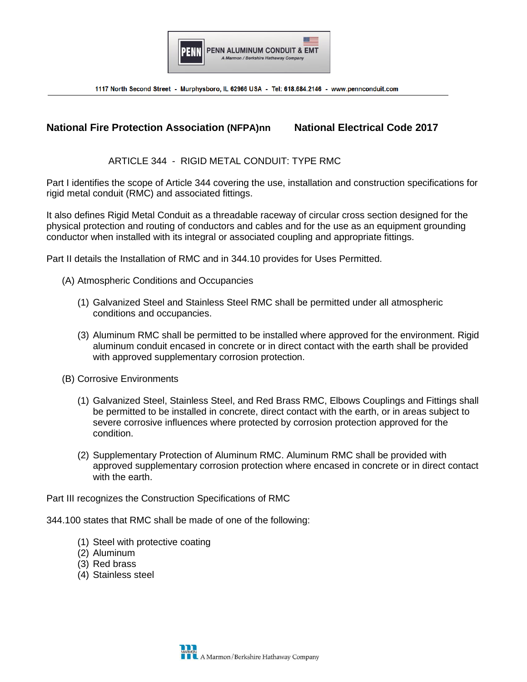

# **National Fire Protection Association (NFPA)nn National Electrical Code 2017**

### ARTICLE 344 - RIGID METAL CONDUIT: TYPE RMC

Part I identifies the scope of Article 344 covering the use, installation and construction specifications for rigid metal conduit (RMC) and associated fittings.

It also defines Rigid Metal Conduit as a threadable raceway of circular cross section designed for the physical protection and routing of conductors and cables and for the use as an equipment grounding conductor when installed with its integral or associated coupling and appropriate fittings.

Part II details the Installation of RMC and in 344.10 provides for Uses Permitted.

- (A) Atmospheric Conditions and Occupancies
	- (1) Galvanized Steel and Stainless Steel RMC shall be permitted under all atmospheric conditions and occupancies.
	- (3) Aluminum RMC shall be permitted to be installed where approved for the environment. Rigid aluminum conduit encased in concrete or in direct contact with the earth shall be provided with approved supplementary corrosion protection.
- (B) Corrosive Environments
	- (1) Galvanized Steel, Stainless Steel, and Red Brass RMC, Elbows Couplings and Fittings shall be permitted to be installed in concrete, direct contact with the earth, or in areas subject to severe corrosive influences where protected by corrosion protection approved for the condition.
	- (2) Supplementary Protection of Aluminum RMC. Aluminum RMC shall be provided with approved supplementary corrosion protection where encased in concrete or in direct contact with the earth.

Part III recognizes the Construction Specifications of RMC

344.100 states that RMC shall be made of one of the following:

- (1) Steel with protective coating
- (2) Aluminum
- (3) Red brass
- (4) Stainless steel

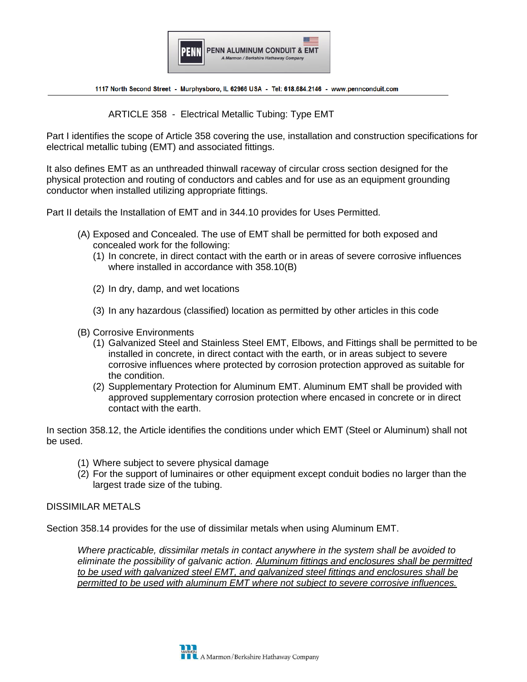

ARTICLE 358 - Electrical Metallic Tubing: Type EMT

Part I identifies the scope of Article 358 covering the use, installation and construction specifications for electrical metallic tubing (EMT) and associated fittings.

It also defines EMT as an unthreaded thinwall raceway of circular cross section designed for the physical protection and routing of conductors and cables and for use as an equipment grounding conductor when installed utilizing appropriate fittings.

Part II details the Installation of EMT and in 344.10 provides for Uses Permitted.

- (A) Exposed and Concealed. The use of EMT shall be permitted for both exposed and concealed work for the following:
	- (1) In concrete, in direct contact with the earth or in areas of severe corrosive influences where installed in accordance with 358.10(B)
	- (2) In dry, damp, and wet locations
	- (3) In any hazardous (classified) location as permitted by other articles in this code
- (B) Corrosive Environments
	- (1) Galvanized Steel and Stainless Steel EMT, Elbows, and Fittings shall be permitted to be installed in concrete, in direct contact with the earth, or in areas subject to severe corrosive influences where protected by corrosion protection approved as suitable for the condition.
	- (2) Supplementary Protection for Aluminum EMT. Aluminum EMT shall be provided with approved supplementary corrosion protection where encased in concrete or in direct contact with the earth.

In section 358.12, the Article identifies the conditions under which EMT (Steel or Aluminum) shall not be used.

- (1) Where subject to severe physical damage
- (2) For the support of luminaires or other equipment except conduit bodies no larger than the largest trade size of the tubing.

#### DISSIMILAR METALS

Section 358.14 provides for the use of dissimilar metals when using Aluminum EMT.

*Where practicable, dissimilar metals in contact anywhere in the system shall be avoided to eliminate the possibility of galvanic action. Aluminum fittings and enclosures shall be permitted to be used with galvanized steel EMT, and galvanized steel fittings and enclosures shall be permitted to be used with aluminum EMT where not subject to severe corrosive influences.*

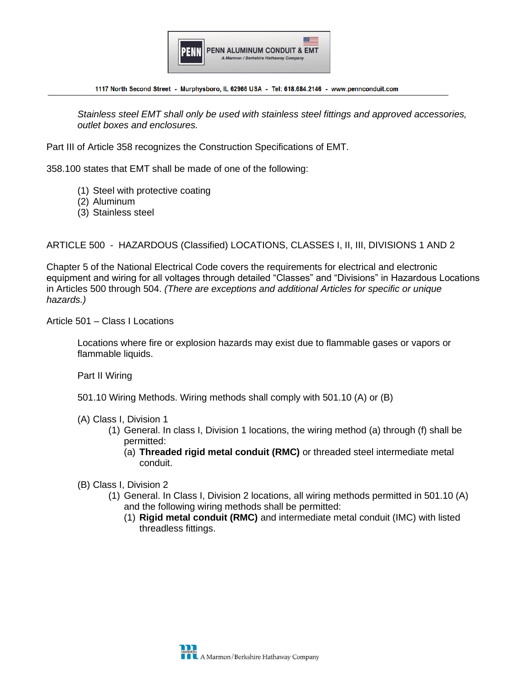

*Stainless steel EMT shall only be used with stainless steel fittings and approved accessories, outlet boxes and enclosures.*

Part III of Article 358 recognizes the Construction Specifications of EMT.

358.100 states that EMT shall be made of one of the following:

- (1) Steel with protective coating
- (2) Aluminum
- (3) Stainless steel

ARTICLE 500 - HAZARDOUS (Classified) LOCATIONS, CLASSES I, II, III, DIVISIONS 1 AND 2

Chapter 5 of the National Electrical Code covers the requirements for electrical and electronic equipment and wiring for all voltages through detailed "Classes" and "Divisions" in Hazardous Locations in Articles 500 through 504. *(There are exceptions and additional Articles for specific or unique hazards.)*

Article 501 – Class I Locations

Locations where fire or explosion hazards may exist due to flammable gases or vapors or flammable liquids.

Part II Wiring

501.10 Wiring Methods. Wiring methods shall comply with 501.10 (A) or (B)

- (A) Class I, Division 1
	- (1) General. In class I, Division 1 locations, the wiring method (a) through (f) shall be permitted:
		- (a) **Threaded rigid metal conduit (RMC)** or threaded steel intermediate metal conduit.
- (B) Class I, Division 2
	- (1) General. In Class I, Division 2 locations, all wiring methods permitted in 501.10 (A) and the following wiring methods shall be permitted:
		- (1) **Rigid metal conduit (RMC)** and intermediate metal conduit (IMC) with listed threadless fittings.

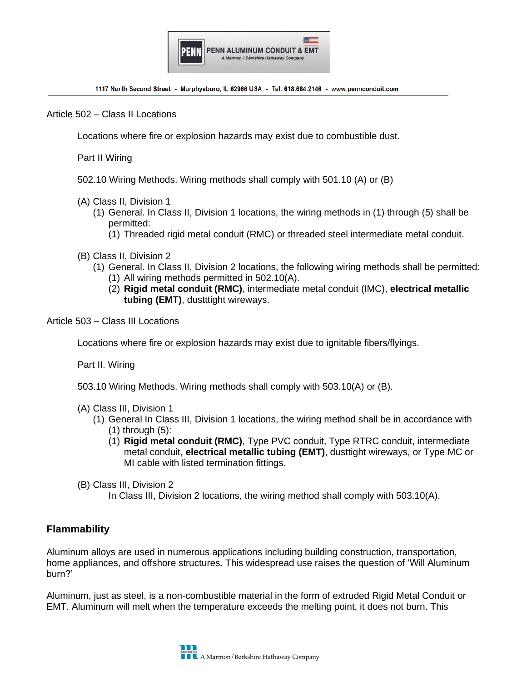

Article 502 – Class II Locations

Locations where fire or explosion hazards may exist due to combustible dust.

Part II Wiring

- 502.10 Wiring Methods. Wiring methods shall comply with 501.10 (A) or (B)
- (A) Class II, Division 1
	- (1) General. In Class II, Division 1 locations, the wiring methods in (1) through (5) shall be permitted:
		- (1) Threaded rigid metal conduit (RMC) or threaded steel intermediate metal conduit.
- (B) Class II, Division 2
	- (1) General. In Class II, Division 2 locations, the following wiring methods shall be permitted: (1) All wiring methods permitted in 502.10(A).
		- (2) **Rigid metal conduit (RMC)**, intermediate metal conduit (IMC), **electrical metallic tubing (EMT)**, dustttight wireways.
- Article 503 Class III Locations

Locations where fire or explosion hazards may exist due to ignitable fibers/flyings.

Part II. Wiring

- 503.10 Wiring Methods. Wiring methods shall comply with 503.10(A) or (B).
- (A) Class III, Division 1
	- (1) General In Class III, Division 1 locations, the wiring method shall be in accordance with  $(1)$  through  $(5)$ :
		- (1) **Rigid metal conduit (RMC)**, Type PVC conduit, Type RTRC conduit, intermediate metal conduit, **electrical metallic tubing (EMT)**, dusttight wireways, or Type MC or MI cable with listed termination fittings.
- (B) Class III, Division 2
	- In Class III, Division 2 locations, the wiring method shall comply with 503.10(A).

# **Flammability**

Aluminum alloys are used in numerous applications including building construction, transportation, home appliances, and offshore structures. This widespread use raises the question of 'Will Aluminum burn?'

Aluminum, just as steel, is a non-combustible material in the form of extruded Rigid Metal Conduit or EMT. Aluminum will melt when the temperature exceeds the melting point, it does not burn. This

**N**<br>A Marmon/Berkshire Hathaway Company